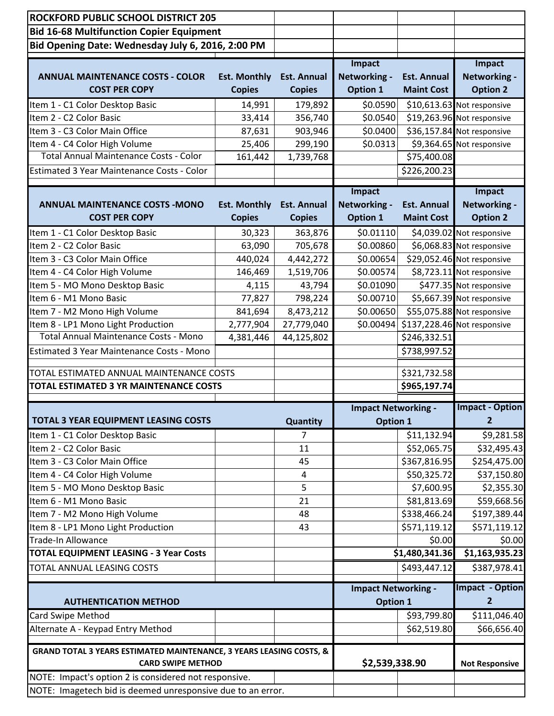| ROCKFORD PUBLIC SCHOOL DISTRICT 205                                 |                     |                    |                                               |                    |                             |
|---------------------------------------------------------------------|---------------------|--------------------|-----------------------------------------------|--------------------|-----------------------------|
| <b>Bid 16-68 Multifunction Copier Equipment</b>                     |                     |                    |                                               |                    |                             |
| Bid Opening Date: Wednesday July 6, 2016, 2:00 PM                   |                     |                    |                                               |                    |                             |
|                                                                     |                     | Impact             |                                               | Impact             |                             |
| <b>ANNUAL MAINTENANCE COSTS - COLOR</b>                             | <b>Est. Monthly</b> | <b>Est. Annual</b> | Networking -<br><b>Est. Annual</b>            |                    | Networking -                |
| <b>COST PER COPY</b>                                                | <b>Copies</b>       | <b>Copies</b>      | <b>Option 1</b>                               | <b>Maint Cost</b>  | <b>Option 2</b>             |
| Item 1 - C1 Color Desktop Basic                                     | 14,991              | 179,892            | \$0.0590                                      |                    | \$10,613.63 Not responsive  |
| Item 2 - C2 Color Basic                                             | 33,414              | 356,740            | \$0.0540                                      |                    | \$19,263.96 Not responsive  |
| Item 3 - C3 Color Main Office                                       | 87,631              | 903,946            | \$0.0400                                      |                    | \$36,157.84 Not responsive  |
| Item 4 - C4 Color High Volume                                       | 25,406              | 299,190            | \$0.0313                                      |                    | \$9,364.65 Not responsive   |
| <b>Total Annual Maintenance Costs - Color</b>                       | 161,442             | 1,739,768          |                                               | \$75,400.08        |                             |
| <b>Estimated 3 Year Maintenance Costs - Color</b>                   |                     |                    |                                               | \$226,200.23       |                             |
|                                                                     |                     |                    |                                               |                    |                             |
|                                                                     |                     |                    | <b>Impact</b>                                 |                    | Impact                      |
| <b>ANNUAL MAINTENANCE COSTS - MONO</b>                              | <b>Est. Monthly</b> |                    | Networking -                                  | <b>Est. Annual</b> | Networking -                |
| <b>COST PER COPY</b>                                                | <b>Copies</b>       | <b>Copies</b>      | <b>Option 1</b>                               | <b>Maint Cost</b>  | <b>Option 2</b>             |
| Item 1 - C1 Color Desktop Basic                                     | 30,323              | 363,876            | \$0.01110                                     |                    | \$4,039.02 Not responsive   |
| Item 2 - C2 Color Basic                                             | 63,090              | 705,678            | \$0.00860                                     |                    | \$6,068.83 Not responsive   |
| Item 3 - C3 Color Main Office                                       | 440,024             | 4,442,272          | \$0.00654                                     |                    | \$29,052.46 Not responsive  |
| Item 4 - C4 Color High Volume                                       | 146,469             | 1,519,706          | \$0.00574                                     |                    | \$8,723.11 Not responsive   |
| Item 5 - MO Mono Desktop Basic                                      | 4,115               | 43,794             | \$0.01090                                     |                    | \$477.35 Not responsive     |
| Item 6 - M1 Mono Basic                                              | 77,827              | 798,224            | \$0.00710                                     |                    | \$5,667.39 Not responsive   |
| Item 7 - M2 Mono High Volume                                        | 841,694             | 8,473,212          | \$0.00650                                     |                    | \$55,075.88 Not responsive  |
| Item 8 - LP1 Mono Light Production                                  | 2,777,904           | 27,779,040         | \$0.00494]                                    |                    | \$137,228.46 Not responsive |
| <b>Total Annual Maintenance Costs - Mono</b>                        | 4,381,446           | 44,125,802         |                                               | \$246,332.51       |                             |
| <b>Estimated 3 Year Maintenance Costs - Mono</b>                    |                     |                    |                                               | \$738,997.52       |                             |
| TOTAL ESTIMATED ANNUAL MAINTENANCE COSTS                            |                     |                    |                                               | \$321,732.58       |                             |
| TOTAL ESTIMATED 3 YR MAINTENANCE COSTS                              |                     |                    |                                               | \$965,197.74       |                             |
|                                                                     |                     |                    |                                               |                    |                             |
|                                                                     |                     |                    | <b>Impact Networking -</b><br><b>Option 1</b> |                    | <b>Impact - Option</b>      |
| <b>TOTAL 3 YEAR EQUIPMENT LEASING COSTS</b>                         |                     | Quantity           |                                               |                    | $\mathbf{2}$                |
| Item 1 - C1 Color Desktop Basic                                     |                     | 7                  |                                               | \$11,132.94        | \$9,281.58                  |
| Item 2 - C2 Color Basic                                             |                     | 11                 |                                               | \$52,065.75        | \$32,495.43                 |
| Item 3 - C3 Color Main Office                                       |                     | 45                 |                                               | \$367,816.95       | \$254,475.00                |
| Item 4 - C4 Color High Volume                                       |                     | 4                  |                                               | \$50,325.72        | \$37,150.80                 |
| Item 5 - MO Mono Desktop Basic                                      |                     | 5                  |                                               | \$7,600.95         | \$2,355.30                  |
| Item 6 - M1 Mono Basic                                              |                     | 21                 |                                               | \$81,813.69        | \$59,668.56                 |
| Item 7 - M2 Mono High Volume                                        |                     | 48                 |                                               | \$338,466.24       | \$197,389.44                |
| Item 8 - LP1 Mono Light Production                                  |                     | 43                 |                                               | \$571,119.12       | \$571,119.12                |
| Trade-In Allowance                                                  |                     |                    |                                               | \$0.00             | \$0.00                      |
| <b>TOTAL EQUIPMENT LEASING - 3 Year Costs</b>                       |                     |                    |                                               | \$1,480,341.36     | \$1,163,935.23              |
| TOTAL ANNUAL LEASING COSTS                                          |                     |                    |                                               | \$493,447.12       | \$387,978.41                |
|                                                                     |                     |                    | <b>Impact Networking -</b>                    |                    | <b>Impact - Option</b>      |
| <b>AUTHENTICATION METHOD</b>                                        |                     |                    | <b>Option 1</b>                               |                    | 2                           |
| Card Swipe Method                                                   |                     |                    |                                               | \$93,799.80        | \$111,046.40                |
| Alternate A - Keypad Entry Method                                   |                     |                    |                                               | \$62,519.80        | \$66,656.40                 |
| GRAND TOTAL 3 YEARS ESTIMATED MAINTENANCE, 3 YEARS LEASING COSTS, & |                     |                    |                                               |                    |                             |
| <b>CARD SWIPE METHOD</b>                                            |                     |                    | \$2,539,338.90                                |                    | <b>Not Responsive</b>       |
| NOTE: Impact's option 2 is considered not responsive.               |                     |                    |                                               |                    |                             |
| NOTE: Imagetech bid is deemed unresponsive due to an error.         |                     |                    |                                               |                    |                             |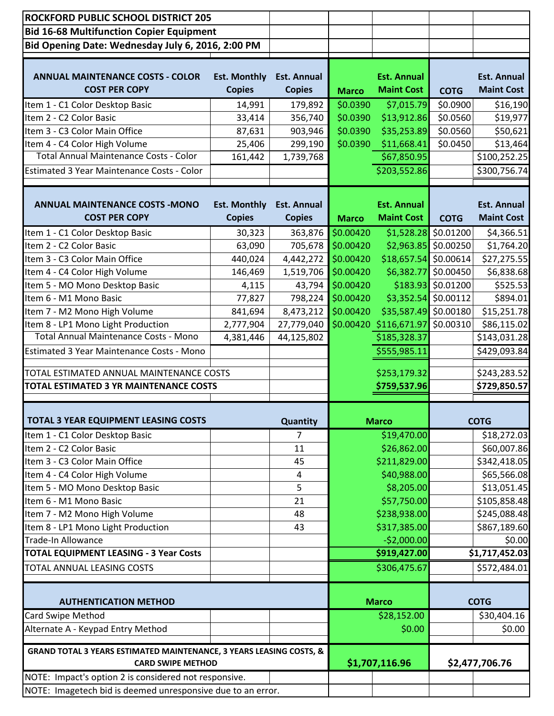| ROCKFORD PUBLIC SCHOOL DISTRICT 205                                 |                     |                    |                    |                                  |                       |                    |
|---------------------------------------------------------------------|---------------------|--------------------|--------------------|----------------------------------|-----------------------|--------------------|
| <b>Bid 16-68 Multifunction Copier Equipment</b>                     |                     |                    |                    |                                  |                       |                    |
| Bid Opening Date: Wednesday July 6, 2016, 2:00 PM                   |                     |                    |                    |                                  |                       |                    |
|                                                                     |                     |                    |                    |                                  |                       |                    |
| <b>ANNUAL MAINTENANCE COSTS - COLOR</b>                             | <b>Est. Monthly</b> | <b>Est. Annual</b> |                    | <b>Est. Annual</b>               |                       | <b>Est. Annual</b> |
| <b>COST PER COPY</b>                                                | <b>Copies</b>       | <b>Copies</b>      | <b>Marco</b>       | <b>Maint Cost</b>                | <b>COTG</b>           | <b>Maint Cost</b>  |
| Item 1 - C1 Color Desktop Basic                                     | 14,991              | 179,892            | \$0.0390           | \$7,015.79                       | \$0.0900              | \$16,190           |
| Item 2 - C2 Color Basic                                             | 33,414              | 356,740            | \$0.0390           | \$13,912.86                      | \$0.0560              | \$19,977           |
| Item 3 - C3 Color Main Office                                       | 87,631              | 903,946            | \$0.0390           | \$35,253.89                      | \$0.0560              | \$50,621           |
| Item 4 - C4 Color High Volume                                       | 25,406              | 299,190            | \$0.0390           | \$11,668.41                      | \$0.0450              | \$13,464           |
| <b>Total Annual Maintenance Costs - Color</b>                       | 161,442             | 1,739,768          |                    | \$67,850.95                      |                       | \$100,252.25       |
| Estimated 3 Year Maintenance Costs - Color                          |                     |                    |                    | \$203,552.86                     |                       | \$300,756.74       |
|                                                                     |                     |                    |                    |                                  |                       |                    |
|                                                                     |                     |                    |                    |                                  |                       |                    |
| <b>ANNUAL MAINTENANCE COSTS - MONO</b>                              | <b>Est. Monthly</b> | <b>Est. Annual</b> | <b>Est. Annual</b> |                                  | <b>Est. Annual</b>    |                    |
| <b>COST PER COPY</b>                                                | <b>Copies</b>       | <b>Copies</b>      | <b>Marco</b>       | <b>Maint Cost</b>                | <b>COTG</b>           | <b>Maint Cost</b>  |
| Item 1 - C1 Color Desktop Basic                                     | 30,323              | 363,876            | \$0.00420          |                                  | $$1,528.28$ \$0.01200 | \$4,366.51         |
| Item 2 - C2 Color Basic                                             | 63,090              | 705,678            | \$0.00420          |                                  | $$2,963.85$ \$0.00250 | \$1,764.20         |
| Item 3 - C3 Color Main Office                                       | 440,024             | 4,442,272          | \$0.00420          | \$18,657.54 \$0.00614            |                       | \$27,275.55        |
| Item 4 - C4 Color High Volume                                       | 146,469             | 1,519,706          | \$0.00420          |                                  | $$6,382.77$ \$0.00450 | \$6,838.68         |
| Item 5 - MO Mono Desktop Basic                                      | 4,115               | 43,794             | \$0.00420          |                                  | \$183.93 \$0.01200    | \$525.53           |
| Item 6 - M1 Mono Basic                                              | 77,827              | 798,224            | \$0.00420          | \$3,352.54 \$0.00112             |                       | \$894.01           |
| Item 7 - M2 Mono High Volume                                        | 841,694             | 8,473,212          | \$0.00420          | \$35,587.49 \$0.00180            |                       | \$15,251.78        |
| Item 8 - LP1 Mono Light Production                                  | 2,777,904           | 27,779,040         |                    | \$0.00420 \$116,671.97 \$0.00310 |                       | \$86,115.02        |
| Total Annual Maintenance Costs - Mono                               | 4,381,446           | 44,125,802         |                    | \$185,328.37                     |                       | \$143,031.28       |
| <b>Estimated 3 Year Maintenance Costs - Mono</b>                    |                     |                    |                    | \$555,985.11                     |                       | \$429,093.84       |
| TOTAL ESTIMATED ANNUAL MAINTENANCE COSTS                            |                     |                    |                    | \$253,179.32                     |                       | \$243,283.52       |
| TOTAL ESTIMATED 3 YR MAINTENANCE COSTS                              |                     |                    |                    | \$759,537.96                     |                       | \$729,850.57       |
|                                                                     |                     |                    |                    |                                  |                       |                    |
|                                                                     |                     |                    |                    |                                  |                       |                    |
| <b>TOTAL 3 YEAR EQUIPMENT LEASING COSTS</b>                         |                     | Quantity           | <b>Marco</b>       |                                  |                       | <b>COTG</b>        |
| Item 1 - C1 Color Desktop Basic                                     |                     | 7                  |                    | \$19,470.00                      |                       | \$18,272.03        |
| Item 2 - C2 Color Basic                                             |                     | 11                 |                    | \$26,862.00                      |                       | \$60,007.86        |
| Item 3 - C3 Color Main Office                                       |                     | 45                 |                    | \$211,829.00                     |                       | \$342,418.05       |
| Item 4 - C4 Color High Volume                                       |                     | 4                  |                    | \$40,988.00                      |                       | \$65,566.08        |
| Item 5 - MO Mono Desktop Basic                                      |                     | 5                  |                    | \$8,205.00                       |                       | \$13,051.45        |
| Item 6 - M1 Mono Basic                                              |                     | 21                 |                    | \$57,750.00                      |                       | \$105,858.48       |
| Item 7 - M2 Mono High Volume                                        |                     | 48                 |                    | \$238,938.00                     |                       | \$245,088.48       |
| Item 8 - LP1 Mono Light Production                                  |                     | 43                 |                    | \$317,385.00                     |                       | \$867,189.60       |
| Trade-In Allowance                                                  |                     |                    |                    | $-$ \$2,000.00                   |                       | \$0.00             |
| <b>TOTAL EQUIPMENT LEASING - 3 Year Costs</b>                       |                     |                    |                    | \$919,427.00                     |                       | \$1,717,452.03     |
| TOTAL ANNUAL LEASING COSTS                                          |                     |                    |                    | \$306,475.67                     |                       | \$572,484.01       |
|                                                                     |                     |                    |                    |                                  |                       |                    |
| <b>AUTHENTICATION METHOD</b>                                        |                     |                    |                    | <b>Marco</b>                     |                       | <b>COTG</b>        |
| Card Swipe Method                                                   |                     |                    |                    | \$28,152.00                      |                       | \$30,404.16        |
| Alternate A - Keypad Entry Method                                   |                     |                    |                    | \$0.00                           |                       | \$0.00             |
| GRAND TOTAL 3 YEARS ESTIMATED MAINTENANCE, 3 YEARS LEASING COSTS, & |                     |                    |                    |                                  |                       |                    |
| <b>CARD SWIPE METHOD</b>                                            |                     |                    |                    | \$1,707,116.96                   |                       | \$2,477,706.76     |
| NOTE: Impact's option 2 is considered not responsive.               |                     |                    |                    |                                  |                       |                    |
| NOTE: Imagetech bid is deemed unresponsive due to an error.         |                     |                    |                    |                                  |                       |                    |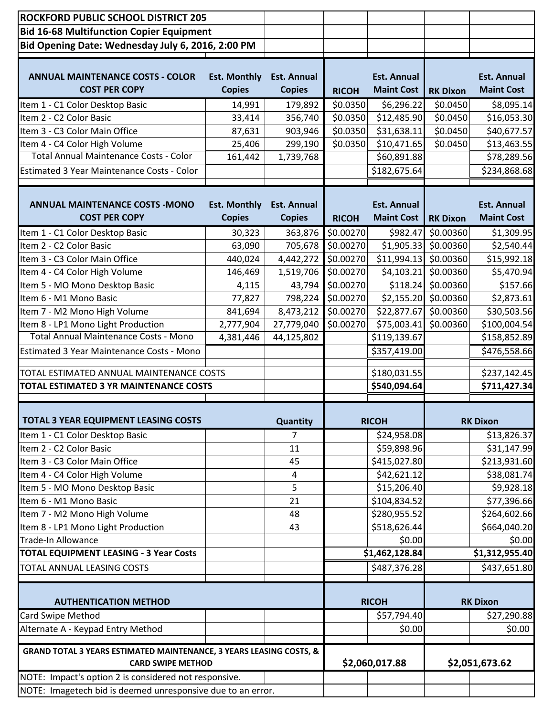| <b>ROCKFORD PUBLIC SCHOOL DISTRICT 205</b>                                     |                     |                         |              |                            |                      |                    |
|--------------------------------------------------------------------------------|---------------------|-------------------------|--------------|----------------------------|----------------------|--------------------|
| <b>Bid 16-68 Multifunction Copier Equipment</b>                                |                     |                         |              |                            |                      |                    |
| Bid Opening Date: Wednesday July 6, 2016, 2:00 PM                              |                     |                         |              |                            |                      |                    |
|                                                                                |                     |                         |              |                            |                      |                    |
| <b>ANNUAL MAINTENANCE COSTS - COLOR</b>                                        | <b>Est. Monthly</b> | <b>Est. Annual</b>      |              | <b>Est. Annual</b>         |                      | <b>Est. Annual</b> |
| <b>COST PER COPY</b>                                                           | <b>Copies</b>       | <b>Copies</b>           | <b>RICOH</b> | <b>Maint Cost</b>          | <b>RK Dixon</b>      | <b>Maint Cost</b>  |
| Item 1 - C1 Color Desktop Basic                                                | 14,991              | 179,892                 | \$0.0350     | \$6,296.22                 | \$0.0450             | \$8,095.14         |
| Item 2 - C2 Color Basic                                                        | 33,414              | 356,740                 | \$0.0350     | \$12,485.90                | \$0.0450             | \$16,053.30        |
| Item 3 - C3 Color Main Office                                                  | 87,631              | 903,946                 | \$0.0350     | \$31,638.11                | \$0.0450             | \$40,677.57        |
| Item 4 - C4 Color High Volume                                                  | 25,406              | 299,190                 | \$0.0350     | \$10,471.65                | \$0.0450             | \$13,463.55        |
| <b>Total Annual Maintenance Costs - Color</b>                                  | 161,442             | 1,739,768               |              | \$60,891.88                |                      | \$78,289.56        |
| <b>Estimated 3 Year Maintenance Costs - Color</b>                              |                     |                         |              | \$182,675.64               |                      | \$234,868.68       |
|                                                                                |                     |                         |              |                            |                      |                    |
|                                                                                |                     |                         |              |                            |                      |                    |
| <b>ANNUAL MAINTENANCE COSTS - MONO</b>                                         | <b>Est. Monthly</b> | <b>Est. Annual</b>      |              | <b>Est. Annual</b>         |                      | <b>Est. Annual</b> |
| <b>COST PER COPY</b>                                                           | <b>Copies</b>       | <b>Copies</b>           | <b>RICOH</b> | <b>Maint Cost</b>          | <b>RK Dixon</b>      | <b>Maint Cost</b>  |
| Item 1 - C1 Color Desktop Basic                                                | 30,323              | 363,876                 | \$0.00270    | \$982.47                   | \$0.00360            | \$1,309.95         |
| Item 2 - C2 Color Basic                                                        | 63,090              | 705,678                 | \$0.00270    |                            | \$1,905.33 \$0.00360 | \$2,540.44         |
| Item 3 - C3 Color Main Office                                                  | 440,024             | 4,442,272               | \$0.00270    | \$11,994.13                | \$0.00360            | \$15,992.18        |
| Item 4 - C4 Color High Volume                                                  | 146,469             | 1,519,706               | \$0.00270    | \$4,103.21                 | \$0.00360            | \$5,470.94         |
| Item 5 - MO Mono Desktop Basic                                                 | 4,115               | 43,794                  | \$0.00270    |                            | \$118.24 \$0.00360   | \$157.66           |
| Item 6 - M1 Mono Basic                                                         | 77,827              | 798,224                 | \$0.00270    | \$2,155.20                 | \$0.00360            | \$2,873.61         |
| Item 7 - M2 Mono High Volume                                                   | 841,694             | 8,473,212               | \$0.00270    | \$22,877.67                | \$0.00360            | \$30,503.56        |
| Item 8 - LP1 Mono Light Production                                             | 2,777,904           | 27,779,040              | \$0.00270    | \$75,003.41                | \$0.00360            | \$100,004.54       |
| Total Annual Maintenance Costs - Mono                                          | 4,381,446           | 44,125,802              |              | \$119,139.67               |                      | \$158,852.89       |
| Estimated 3 Year Maintenance Costs - Mono                                      |                     |                         |              | \$357,419.00               |                      | \$476,558.66       |
| TOTAL ESTIMATED ANNUAL MAINTENANCE COSTS                                       |                     |                         |              | \$180,031.55               |                      | \$237,142.45       |
| TOTAL ESTIMATED 3 YR MAINTENANCE COSTS                                         |                     |                         |              | \$540,094.64               |                      | \$711,427.34       |
|                                                                                |                     |                         |              |                            |                      |                    |
| <b>TOTAL 3 YEAR EQUIPMENT LEASING COSTS</b>                                    |                     | Quantity                | <b>RICOH</b> |                            | <b>RK Dixon</b>      |                    |
| Item 1 - C1 Color Desktop Basic                                                |                     | $\overline{7}$          |              | \$24,958.08                |                      | \$13,826.37        |
| Item 2 - C2 Color Basic                                                        |                     | 11                      |              | \$59,898.96                |                      | \$31,147.99        |
| Item 3 - C3 Color Main Office                                                  |                     | 45                      |              | \$415,027.80               |                      | \$213,931.60       |
| Item 4 - C4 Color High Volume                                                  |                     | $\overline{\mathbf{4}}$ |              | \$42,621.12                |                      | \$38,081.74        |
| Item 5 - MO Mono Desktop Basic                                                 |                     | 5                       |              | \$15,206.40                |                      | \$9,928.18         |
| Item 6 - M1 Mono Basic                                                         |                     | 21                      |              | \$104,834.52               |                      | \$77,396.66        |
| Item 7 - M2 Mono High Volume                                                   |                     | 48                      |              | \$280,955.52               |                      | \$264,602.66       |
| Item 8 - LP1 Mono Light Production                                             |                     | 43                      |              | \$518,626.44               |                      | \$664,040.20       |
| Trade-In Allowance                                                             |                     |                         |              | \$0.00                     |                      | \$0.00             |
| <b>TOTAL EQUIPMENT LEASING - 3 Year Costs</b>                                  |                     |                         |              | $\overline{51,}462,128.84$ |                      | \$1,312,955.40     |
| TOTAL ANNUAL LEASING COSTS                                                     |                     |                         |              | \$487,376.28               |                      | \$437,651.80       |
|                                                                                |                     |                         |              |                            |                      |                    |
| <b>AUTHENTICATION METHOD</b>                                                   |                     |                         | <b>RICOH</b> |                            | <b>RK Dixon</b>      |                    |
| Card Swipe Method                                                              |                     |                         |              | \$57,794.40                |                      | \$27,290.88        |
| Alternate A - Keypad Entry Method                                              |                     |                         |              | \$0.00                     |                      | \$0.00             |
|                                                                                |                     |                         |              |                            |                      |                    |
| <b>GRAND TOTAL 3 YEARS ESTIMATED MAINTENANCE, 3 YEARS LEASING COSTS, &amp;</b> |                     |                         |              |                            |                      |                    |
| <b>CARD SWIPE METHOD</b>                                                       |                     |                         |              | \$2,060,017.88             |                      | \$2,051,673.62     |
| NOTE: Impact's option 2 is considered not responsive.                          |                     |                         |              |                            |                      |                    |
| NOTE: Imagetech bid is deemed unresponsive due to an error.                    |                     |                         |              |                            |                      |                    |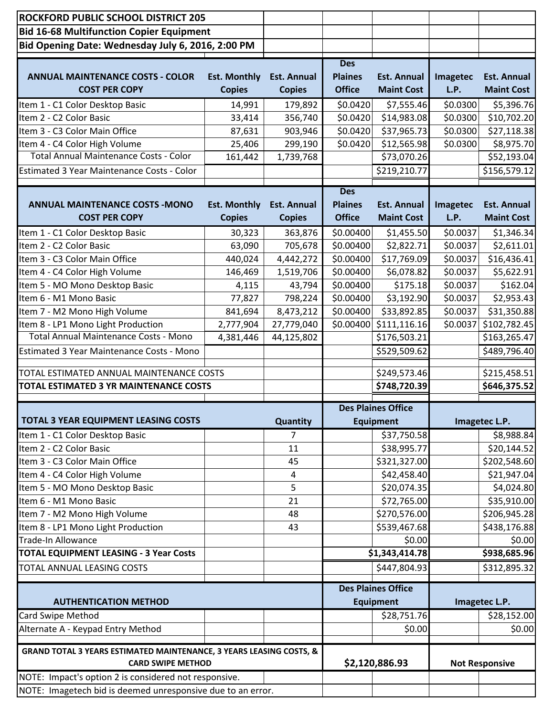| <b>ROCKFORD PUBLIC SCHOOL DISTRICT 205</b>                          |                     |                    |                           |                           |               |                       |  |
|---------------------------------------------------------------------|---------------------|--------------------|---------------------------|---------------------------|---------------|-----------------------|--|
| <b>Bid 16-68 Multifunction Copier Equipment</b>                     |                     |                    |                           |                           |               |                       |  |
| Bid Opening Date: Wednesday July 6, 2016, 2:00 PM                   |                     |                    |                           |                           |               |                       |  |
|                                                                     |                     |                    | <b>Des</b>                |                           |               |                       |  |
| <b>ANNUAL MAINTENANCE COSTS - COLOR</b>                             | <b>Est. Monthly</b> | <b>Est. Annual</b> | <b>Plaines</b>            | <b>Est. Annual</b>        | Imagetec      | <b>Est. Annual</b>    |  |
| <b>COST PER COPY</b>                                                | <b>Copies</b>       | <b>Copies</b>      | <b>Office</b>             | <b>Maint Cost</b>         | L.P.          | <b>Maint Cost</b>     |  |
| Item 1 - C1 Color Desktop Basic                                     | 14,991              | 179,892            | \$0.0420                  | \$7,555.46                | \$0.0300      | \$5,396.76            |  |
| Item 2 - C2 Color Basic                                             | 33,414              | 356,740            | \$0.0420                  | \$14,983.08               | \$0.0300      | \$10,702.20           |  |
| Item 3 - C3 Color Main Office                                       | 87,631              | 903,946            | \$0.0420                  | \$37,965.73               | \$0.0300      | \$27,118.38           |  |
| Item 4 - C4 Color High Volume                                       | 25,406              | 299,190            | \$0.0420                  | \$12,565.98               | \$0.0300      | \$8,975.70            |  |
| <b>Total Annual Maintenance Costs - Color</b>                       | 161,442             | 1,739,768          |                           | \$73,070.26               |               | \$52,193.04           |  |
| Estimated 3 Year Maintenance Costs - Color                          |                     |                    |                           | \$219,210.77              |               | \$156,579.12          |  |
|                                                                     |                     |                    |                           |                           |               |                       |  |
|                                                                     |                     |                    | <b>Des</b>                |                           |               |                       |  |
| <b>ANNUAL MAINTENANCE COSTS -MONO</b>                               | <b>Est. Monthly</b> | <b>Est. Annual</b> | <b>Plaines</b>            | <b>Est. Annual</b>        | Imagetec      | <b>Est. Annual</b>    |  |
| <b>COST PER COPY</b>                                                | <b>Copies</b>       | <b>Copies</b>      | <b>Office</b>             | <b>Maint Cost</b>         | L.P.          | <b>Maint Cost</b>     |  |
| Item 1 - C1 Color Desktop Basic                                     | 30,323              | 363,876            | \$0.00400                 | \$1,455.50                | \$0.0037      | \$1,346.34            |  |
| Item 2 - C2 Color Basic                                             | 63,090              | 705,678            | \$0.00400                 | \$2,822.71                | \$0.0037      | \$2,611.01            |  |
| Item 3 - C3 Color Main Office                                       | 440,024             | 4,442,272          | \$0.00400                 | \$17,769.09               | \$0.0037      | \$16,436.41           |  |
| Item 4 - C4 Color High Volume                                       | 146,469             | 1,519,706          | \$0.00400                 | \$6,078.82                | \$0.0037      | \$5,622.91            |  |
| Item 5 - MO Mono Desktop Basic                                      | 4,115               | 43,794             | \$0.00400                 | \$175.18                  | \$0.0037      | \$162.04              |  |
| Item 6 - M1 Mono Basic                                              | 77,827              | 798,224            | \$0.00400                 | \$3,192.90                | \$0.0037      | \$2,953.43            |  |
| Item 7 - M2 Mono High Volume                                        | 841,694             | 8,473,212          | \$0.00400                 | \$33,892.85               | \$0.0037      | \$31,350.88           |  |
| Item 8 - LP1 Mono Light Production                                  | 2,777,904           | 27,779,040         | \$0.00400                 | \$111,116.16              | \$0.0037      | \$102,782.45          |  |
| Total Annual Maintenance Costs - Mono                               | 4,381,446           | 44,125,802         |                           | \$176,503.21              |               | \$163,265.47          |  |
| Estimated 3 Year Maintenance Costs - Mono                           |                     |                    |                           | \$529,509.62              |               | \$489,796.40          |  |
|                                                                     |                     |                    |                           |                           |               |                       |  |
| TOTAL ESTIMATED ANNUAL MAINTENANCE COSTS                            |                     |                    |                           | \$249,573.46              |               | \$215,458.51          |  |
| TOTAL ESTIMATED 3 YR MAINTENANCE COSTS                              |                     |                    |                           | \$748,720.39              |               | \$646,375.52          |  |
|                                                                     |                     |                    |                           | <b>Des Plaines Office</b> |               |                       |  |
| TOTAL 3 YEAR EQUIPMENT LEASING COSTS                                |                     | Quantity           | <b>Equipment</b>          |                           | Imagetec L.P. |                       |  |
| Item 1 - C1 Color Desktop Basic                                     |                     | $\overline{7}$     |                           | \$37,750.58               |               | \$8,988.84            |  |
| Item 2 - C2 Color Basic                                             |                     | 11                 |                           | \$38,995.77               |               | \$20,144.52           |  |
| Item 3 - C3 Color Main Office                                       |                     | 45                 |                           | \$321,327.00              |               | \$202,548.60          |  |
| Item 4 - C4 Color High Volume                                       |                     | 4                  |                           | \$42,458.40               |               | \$21,947.04           |  |
| Item 5 - MO Mono Desktop Basic                                      |                     | 5                  |                           | \$20,074.35               |               | \$4,024.80            |  |
| Item 6 - M1 Mono Basic                                              |                     | 21                 |                           | \$72,765.00               |               | \$35,910.00           |  |
| Item 7 - M2 Mono High Volume                                        |                     | 48                 |                           | \$270,576.00              |               | \$206,945.28          |  |
| Item 8 - LP1 Mono Light Production                                  |                     | 43                 |                           | \$539,467.68              |               | \$438,176.88          |  |
| Trade-In Allowance                                                  |                     |                    |                           | \$0.00                    |               | \$0.00                |  |
| <b>TOTAL EQUIPMENT LEASING - 3 Year Costs</b>                       |                     |                    |                           | \$1,343,414.78            |               | \$938,685.96          |  |
| TOTAL ANNUAL LEASING COSTS                                          |                     |                    |                           | \$447,804.93              |               | \$312,895.32          |  |
|                                                                     |                     |                    |                           |                           |               |                       |  |
|                                                                     |                     |                    | <b>Des Plaines Office</b> |                           |               |                       |  |
| <b>AUTHENTICATION METHOD</b>                                        |                     |                    | <b>Equipment</b>          |                           | Imagetec L.P. |                       |  |
| Card Swipe Method                                                   |                     |                    |                           | \$28,751.76               |               | \$28,152.00           |  |
| Alternate A - Keypad Entry Method                                   |                     |                    |                           | \$0.00                    |               | \$0.00                |  |
| GRAND TOTAL 3 YEARS ESTIMATED MAINTENANCE, 3 YEARS LEASING COSTS, & |                     |                    |                           |                           |               |                       |  |
| <b>CARD SWIPE METHOD</b>                                            |                     |                    |                           | \$2,120,886.93            |               | <b>Not Responsive</b> |  |
| NOTE: Impact's option 2 is considered not responsive.               |                     |                    |                           |                           |               |                       |  |
| NOTE: Imagetech bid is deemed unresponsive due to an error.         |                     |                    |                           |                           |               |                       |  |